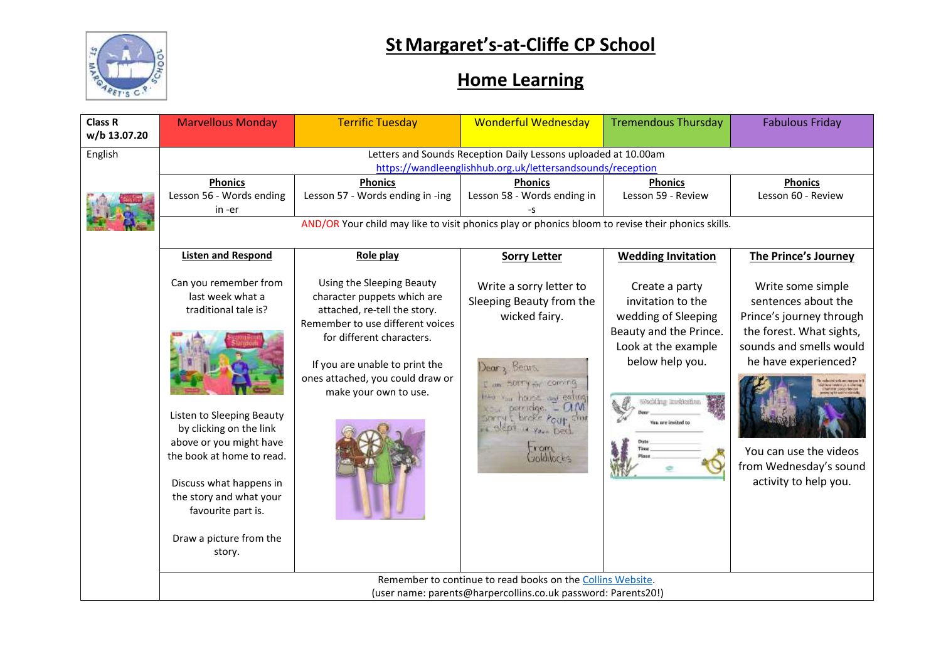

## **StMargaret's-at-Cliffe CP School**

## **Home Learning**

| Class R<br>w/b 13.07.20 | <b>Marvellous Monday</b>                                                                                                                                                                                                                                                                 | <b>Terrific Tuesday</b>                                                                                                                                                                                                                                  | <b>Wonderful Wednesday</b>                                                                                                                                                                                                                                | <b>Tremendous Thursday</b>                                                                                                                            | <b>Fabulous Friday</b>                                                                                                                                                                                                           |  |  |  |
|-------------------------|------------------------------------------------------------------------------------------------------------------------------------------------------------------------------------------------------------------------------------------------------------------------------------------|----------------------------------------------------------------------------------------------------------------------------------------------------------------------------------------------------------------------------------------------------------|-----------------------------------------------------------------------------------------------------------------------------------------------------------------------------------------------------------------------------------------------------------|-------------------------------------------------------------------------------------------------------------------------------------------------------|----------------------------------------------------------------------------------------------------------------------------------------------------------------------------------------------------------------------------------|--|--|--|
| English                 | Letters and Sounds Reception Daily Lessons uploaded at 10.00am<br>https://wandleenglishhub.org.uk/lettersandsounds/reception<br><b>Phonics</b><br><b>Phonics</b><br><b>Phonics</b><br><b>Phonics</b><br><b>Phonics</b>                                                                   |                                                                                                                                                                                                                                                          |                                                                                                                                                                                                                                                           |                                                                                                                                                       |                                                                                                                                                                                                                                  |  |  |  |
|                         | Lesson 56 - Words ending<br>in -er                                                                                                                                                                                                                                                       | Lesson 57 - Words ending in -ing                                                                                                                                                                                                                         | Lesson 58 - Words ending in                                                                                                                                                                                                                               | Lesson 59 - Review                                                                                                                                    | Lesson 60 - Review                                                                                                                                                                                                               |  |  |  |
|                         | AND/OR Your child may like to visit phonics play or phonics bloom to revise their phonics skills.                                                                                                                                                                                        |                                                                                                                                                                                                                                                          |                                                                                                                                                                                                                                                           |                                                                                                                                                       |                                                                                                                                                                                                                                  |  |  |  |
|                         | <b>Listen and Respond</b>                                                                                                                                                                                                                                                                | Role play                                                                                                                                                                                                                                                | <b>Sorry Letter</b>                                                                                                                                                                                                                                       | <b>Wedding Invitation</b>                                                                                                                             | The Prince's Journey                                                                                                                                                                                                             |  |  |  |
|                         | Can you remember from<br>last week what a<br>traditional tale is?<br>Listen to Sleeping Beauty<br>by clicking on the link<br>above or you might have<br>the book at home to read.<br>Discuss what happens in<br>the story and what your<br>favourite part is.<br>Draw a picture from the | Using the Sleeping Beauty<br>character puppets which are<br>attached, re-tell the story.<br>Remember to use different voices<br>for different characters.<br>If you are unable to print the<br>ones attached, you could draw or<br>make your own to use. | Write a sorry letter to<br>Sleeping Beauty from the<br>wicked fairy.<br>Dear <sub>2</sub> , Bears.<br>I am SOTTY for Coming<br>the vair hears and eating<br>porcidge. - O.M.<br>sorry & broke Pour shore<br>Bept a your Deck<br><b>YOTA</b><br>Joldilocks | Create a party<br>invitation to the<br>wedding of Sleeping<br>Beauty and the Prince.<br>Look at the example<br>below help you.<br>Woolding Imektorian | Write some simple<br>sentences about the<br>Prince's journey through<br>the forest. What sights,<br>sounds and smells would<br>he have experienced?<br>You can use the videos<br>from Wednesday's sound<br>activity to help you. |  |  |  |
|                         | story.                                                                                                                                                                                                                                                                                   |                                                                                                                                                                                                                                                          |                                                                                                                                                                                                                                                           |                                                                                                                                                       |                                                                                                                                                                                                                                  |  |  |  |
|                         | Remember to continue to read books on the Collins Website.<br>(user name: parents@harpercollins.co.uk password: Parents20!)                                                                                                                                                              |                                                                                                                                                                                                                                                          |                                                                                                                                                                                                                                                           |                                                                                                                                                       |                                                                                                                                                                                                                                  |  |  |  |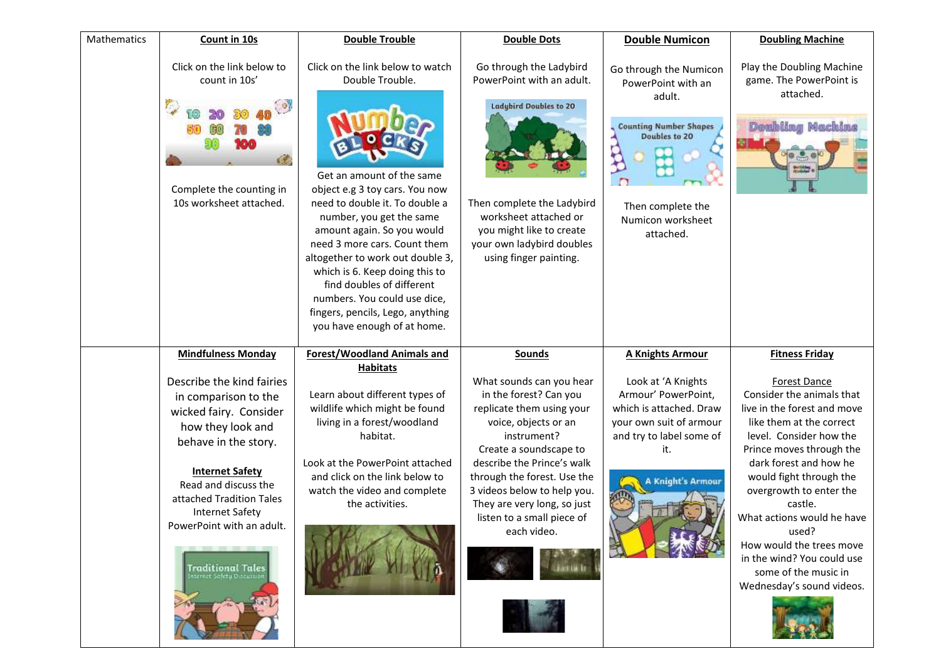| Mathematics | Count in 10s                                                                                                                                                                                                                                                                                                                              | <b>Double Trouble</b>                                                                                                                                                                                                                                                                                                                                                                                                                                | <b>Double Dots</b>                                                                                                                                                                                                                                                                                                                        | <b>Double Numicon</b>                                                                                                                                                                   | <b>Doubling Machine</b>                                                                                                                                                                                                                                                                                                                                                                                                                      |
|-------------|-------------------------------------------------------------------------------------------------------------------------------------------------------------------------------------------------------------------------------------------------------------------------------------------------------------------------------------------|------------------------------------------------------------------------------------------------------------------------------------------------------------------------------------------------------------------------------------------------------------------------------------------------------------------------------------------------------------------------------------------------------------------------------------------------------|-------------------------------------------------------------------------------------------------------------------------------------------------------------------------------------------------------------------------------------------------------------------------------------------------------------------------------------------|-----------------------------------------------------------------------------------------------------------------------------------------------------------------------------------------|----------------------------------------------------------------------------------------------------------------------------------------------------------------------------------------------------------------------------------------------------------------------------------------------------------------------------------------------------------------------------------------------------------------------------------------------|
|             | Click on the link below to<br>count in 10s'<br>Complete the counting in<br>10s worksheet attached.                                                                                                                                                                                                                                        | Click on the link below to watch<br>Double Trouble.<br>Get an amount of the same<br>object e.g 3 toy cars. You now<br>need to double it. To double a<br>number, you get the same<br>amount again. So you would<br>need 3 more cars. Count them<br>altogether to work out double 3,<br>which is 6. Keep doing this to<br>find doubles of different<br>numbers. You could use dice,<br>fingers, pencils, Lego, anything<br>you have enough of at home. | Go through the Ladybird<br>PowerPoint with an adult.<br><b>Ladybird Doubles to 20</b><br>Then complete the Ladybird<br>worksheet attached or<br>you might like to create<br>your own ladybird doubles<br>using finger painting.                                                                                                           | Go through the Numicon<br>PowerPoint with an<br>adult.<br><b>Counting Number Shapes</b><br>Doubles to 20<br>Then complete the<br>Numicon worksheet<br>attached.                         | Play the Doubling Machine<br>game. The PowerPoint is<br>attached.<br><b>Doubling Machine</b>                                                                                                                                                                                                                                                                                                                                                 |
|             | <b>Mindfulness Monday</b><br>Describe the kind fairies<br>in comparison to the<br>wicked fairy. Consider<br>how they look and<br>behave in the story.<br><b>Internet Safety</b><br>Read and discuss the<br>attached Tradition Tales<br><b>Internet Safety</b><br>PowerPoint with an adult.<br>Traditional Tales<br>ernet Safety Discussio | <b>Forest/Woodland Animals and</b><br><b>Habitats</b><br>Learn about different types of<br>wildlife which might be found<br>living in a forest/woodland<br>habitat.<br>Look at the PowerPoint attached<br>and click on the link below to<br>watch the video and complete<br>the activities.                                                                                                                                                          | <b>Sounds</b><br>What sounds can you hear<br>in the forest? Can you<br>replicate them using your<br>voice, objects or an<br>instrument?<br>Create a soundscape to<br>describe the Prince's walk<br>through the forest. Use the<br>3 videos below to help you.<br>They are very long, so just<br>listen to a small piece of<br>each video. | <b>A Knights Armour</b><br>Look at 'A Knights<br>Armour' PowerPoint,<br>which is attached. Draw<br>your own suit of armour<br>and try to label some of<br>it.<br><b>Knight's Armour</b> | <b>Fitness Friday</b><br><b>Forest Dance</b><br>Consider the animals that<br>live in the forest and move<br>like them at the correct<br>level. Consider how the<br>Prince moves through the<br>dark forest and how he<br>would fight through the<br>overgrowth to enter the<br>castle.<br>What actions would he have<br>used?<br>How would the trees move<br>in the wind? You could use<br>some of the music in<br>Wednesday's sound videos. |